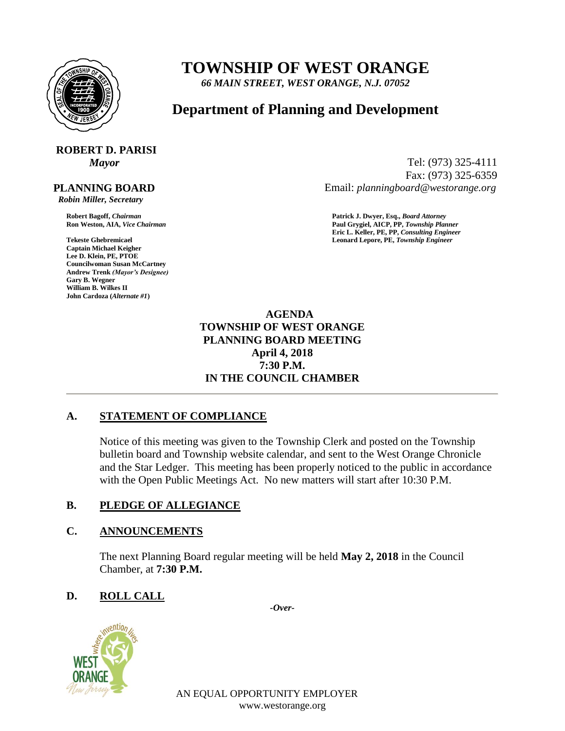

# **TOWNSHIP OF WEST ORANGE**

*66 MAIN STREET, WEST ORANGE, N.J. 07052*

# **Department of Planning and Development**

# **ROBERT D. PARISI**

### **PLANNING BOARD**

 *Robin Miller, Secretary*

**Captain Michael Keigher Lee D. Klein, PE, PTOE Councilwoman Susan McCartney Andrew Trenk** *(Mayor's Designee)* **Gary B. Wegner William B. Wilkes II John Cardoza (***Alternate #1***)**

*Mayor* Tel: (973) 325-4111 Fax: (973) 325-6359 Email: *planningboard@westorange.org*

**Robert Bagoff,** *Chairman* **Patrick J. Dwyer, Esq.,** *Board Attorney* **Ron Weston, AIA,** *Vice Chairman* **Paul Grygiel, AICP, PP,** *Township Planner* **Eric L. Keller, PE, PP,** *Consulting Engineer* **Tekeste Ghebremicael Leonard Lepore, PE,** *Township Engineer*

> **AGENDA TOWNSHIP OF WEST ORANGE PLANNING BOARD MEETING April 4, 2018 7:30 P.M. IN THE COUNCIL CHAMBER**

# **A. STATEMENT OF COMPLIANCE**

Notice of this meeting was given to the Township Clerk and posted on the Township bulletin board and Township website calendar, and sent to the West Orange Chronicle and the Star Ledger. This meeting has been properly noticed to the public in accordance with the Open Public Meetings Act. No new matters will start after 10:30 P.M.

#### **B. PLEDGE OF ALLEGIANCE**

#### **C. ANNOUNCEMENTS**

The next Planning Board regular meeting will be held **May 2, 2018** in the Council Chamber, at **7:30 P.M.**

# **D. ROLL CALL**

*-Over-*



AN EQUAL OPPORTUNITY EMPLOYER www.westorange.org